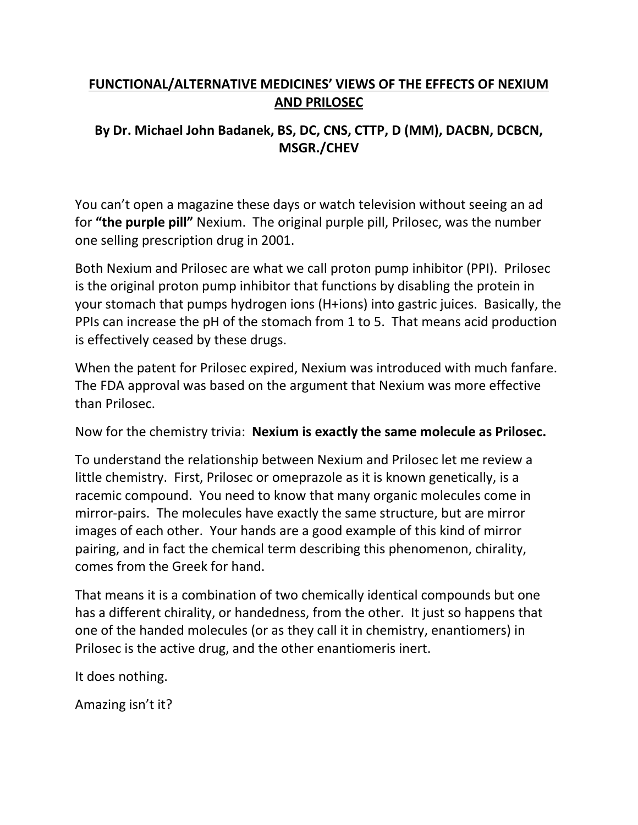## **FUNCTIONAL/ALTERNATIVE MEDICINES' VIEWS OF THE EFFECTS OF NEXIUM AND PRILOSEC**

## **By Dr. Michael John Badanek, BS, DC, CNS, CTTP, D (MM), DACBN, DCBCN, MSGR./CHEV**

You can't open a magazine these days or watch television without seeing an ad for **"the purple pill"** Nexium. The original purple pill, Prilosec, was the number one selling prescription drug in 2001.

Both Nexium and Prilosec are what we call proton pump inhibitor (PPI). Prilosec is the original proton pump inhibitor that functions by disabling the protein in your stomach that pumps hydrogen ions (H+ions) into gastric juices. Basically, the PPIs can increase the pH of the stomach from 1 to 5. That means acid production is effectively ceased by these drugs.

When the patent for Prilosec expired, Nexium was introduced with much fanfare. The FDA approval was based on the argument that Nexium was more effective than Prilosec.

Now for the chemistry trivia: **Nexium is exactly the same molecule as Prilosec.**

To understand the relationship between Nexium and Prilosec let me review a little chemistry. First, Prilosec or omeprazole as it is known genetically, is a racemic compound. You need to know that many organic molecules come in mirror-pairs. The molecules have exactly the same structure, but are mirror images of each other. Your hands are a good example of this kind of mirror pairing, and in fact the chemical term describing this phenomenon, chirality, comes from the Greek for hand.

That means it is a combination of two chemically identical compounds but one has a different chirality, or handedness, from the other. It just so happens that one of the handed molecules (or as they call it in chemistry, enantiomers) in Prilosec is the active drug, and the other enantiomeris inert.

It does nothing.

Amazing isn't it?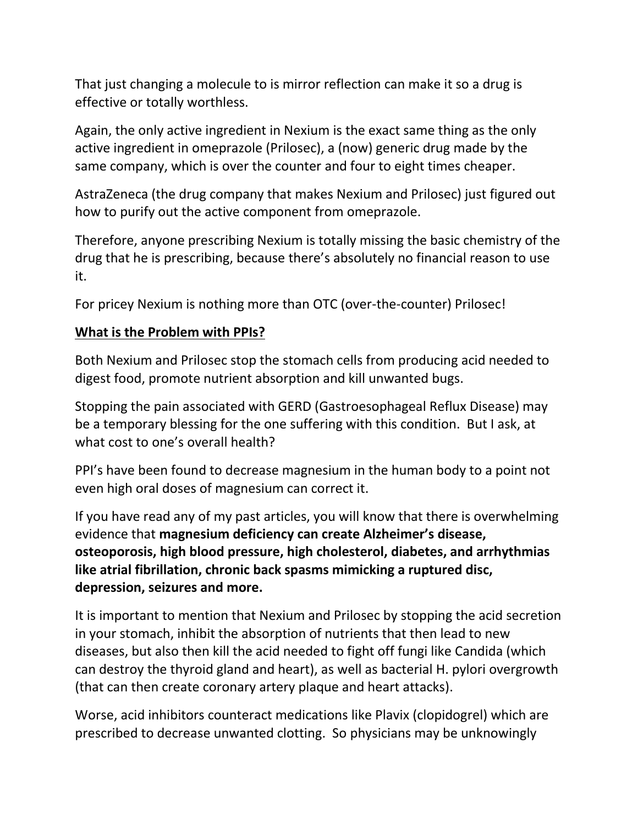That just changing a molecule to is mirror reflection can make it so a drug is effective or totally worthless.

Again, the only active ingredient in Nexium is the exact same thing as the only active ingredient in omeprazole (Prilosec), a (now) generic drug made by the same company, which is over the counter and four to eight times cheaper.

AstraZeneca (the drug company that makes Nexium and Prilosec) just figured out how to purify out the active component from omeprazole.

Therefore, anyone prescribing Nexium is totally missing the basic chemistry of the drug that he is prescribing, because there's absolutely no financial reason to use it.

For pricey Nexium is nothing more than OTC (over-the-counter) Prilosec!

## **What is the Problem with PPIs?**

Both Nexium and Prilosec stop the stomach cells from producing acid needed to digest food, promote nutrient absorption and kill unwanted bugs.

Stopping the pain associated with GERD (Gastroesophageal Reflux Disease) may be a temporary blessing for the one suffering with this condition. But I ask, at what cost to one's overall health?

PPI's have been found to decrease magnesium in the human body to a point not even high oral doses of magnesium can correct it.

If you have read any of my past articles, you will know that there is overwhelming evidence that **magnesium deficiency can create Alzheimer's disease, osteoporosis, high blood pressure, high cholesterol, diabetes, and arrhythmias like atrial fibrillation, chronic back spasms mimicking a ruptured disc, depression, seizures and more.**

It is important to mention that Nexium and Prilosec by stopping the acid secretion in your stomach, inhibit the absorption of nutrients that then lead to new diseases, but also then kill the acid needed to fight off fungi like Candida (which can destroy the thyroid gland and heart), as well as bacterial H. pylori overgrowth (that can then create coronary artery plaque and heart attacks).

Worse, acid inhibitors counteract medications like Plavix (clopidogrel) which are prescribed to decrease unwanted clotting. So physicians may be unknowingly